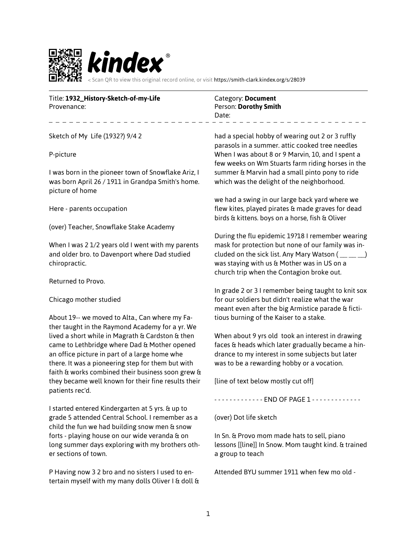

Title: **1932\_History-Sketch-of-my-Life**

Provenance:

Sketch of My Life (1932?) 9/4 2

P-picture

I was born in the pioneer town of Snowflake Ariz, I was born April 26 / 1911 in Grandpa Smith's home. picture of home

Here - parents occupation

(over) Teacher, Snowflake Stake Academy

When I was 2 1/2 years old I went with my parents and older bro. to Davenport where Dad studied chiropractic.

Returned to Provo.

Chicago mother studied

About 19-- we moved to Alta., Can where my Father taught in the Raymond Academy for a yr. We lived a short while in Magrath & Cardston & then came to Lethbridge where Dad & Mother opened an office picture in part of a large home whe there. It was a pioneering step for them but with faith & works combined their business soon grew & they became well known for their fine results their patients rec'd.

I started entered Kindergarten at 5 yrs. & up to grade 5 attended Central School. I remember as a child the fun we had building snow men  $a$  snow forts - playing house on our wide veranda & on long summer days exploring with my brothers other sections of town.

P Having now 3 2 bro and no sisters I used to entertain myself with my many dolls Oliver I & doll  $\alpha$  Category: **Document** Person: **Dorothy Smith** Date:

had a special hobby of wearing out 2 or 3 ruffly parasols in a summer. attic cooked tree needles When I was about 8 or 9 Marvin, 10, and I spent a few weeks on Wm Stuarts farm riding horses in the summer & Marvin had a small pinto pony to ride which was the delight of the neighborhood.

we had a swing in our large back yard where we flew kites, played pirates & made graves for dead birds & kittens. boys on a horse, fish & Oliver

During the flu epidemic 19?18 I remember wearing mask for protection but none of our family was included on the sick list. Any Mary Watson  $(\_\_\_\_\_$ was staying with us & Mother was in US on a church trip when the Contagion broke out.

In grade 2 or 3 I remember being taught to knit sox for our soldiers but didn't realize what the war meant even after the big Armistice parade & fictitious burning of the Kaiser to a stake.

When about 9 yrs old took an interest in drawing faces & heads which later gradually became a hindrance to my interest in some subjects but later was to be a rewarding hobby or a vocation.

[line of text below mostly cut off]

- - - - - - - - - - - - - END OF PAGE 1 - - - - - - - - - - - - -

(over) Dot life sketch

In Sn. & Provo mom made hats to sell, piano lessons [[line]] In Snow. Mom taught kind. & trained a group to teach

Attended BYU summer 1911 when few mo old -